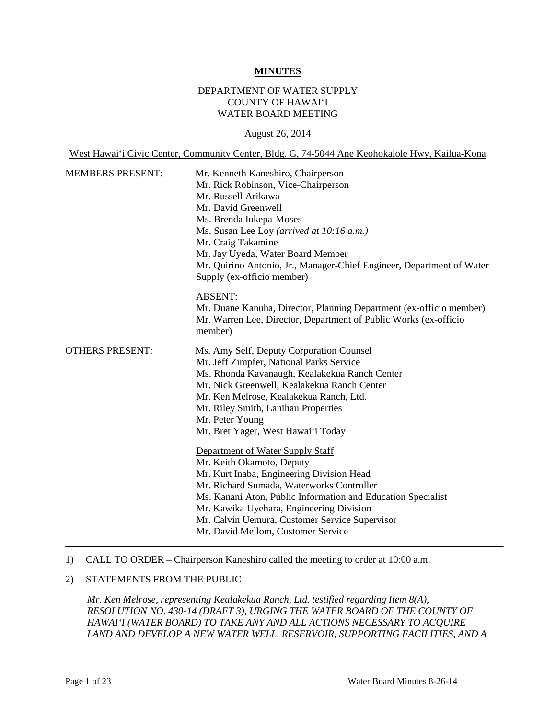#### **MINUTES**

### DEPARTMENT OF WATER SUPPLY COUNTY OF HAWAI'I WATER BOARD MEETING

#### August 26, 2014

West Hawai'i Civic Center, Community Center, Bldg. G, 74-5044 Ane Keohokalole Hwy, Kailua-Kona

| <b>MEMBERS PRESENT:</b> | Mr. Kenneth Kaneshiro, Chairperson<br>Mr. Rick Robinson, Vice-Chairperson<br>Mr. Russell Arikawa<br>Mr. David Greenwell<br>Ms. Brenda Iokepa-Moses<br>Ms. Susan Lee Loy (arrived at 10:16 a.m.)<br>Mr. Craig Takamine<br>Mr. Jay Uyeda, Water Board Member<br>Mr. Quirino Antonio, Jr., Manager-Chief Engineer, Department of Water<br>Supply (ex-officio member)                                                                                                                                                                                                                                                                                                                              |
|-------------------------|------------------------------------------------------------------------------------------------------------------------------------------------------------------------------------------------------------------------------------------------------------------------------------------------------------------------------------------------------------------------------------------------------------------------------------------------------------------------------------------------------------------------------------------------------------------------------------------------------------------------------------------------------------------------------------------------|
|                         | <b>ABSENT:</b><br>Mr. Duane Kanuha, Director, Planning Department (ex-officio member)<br>Mr. Warren Lee, Director, Department of Public Works (ex-officio<br>member)                                                                                                                                                                                                                                                                                                                                                                                                                                                                                                                           |
| <b>OTHERS PRESENT:</b>  | Ms. Amy Self, Deputy Corporation Counsel<br>Mr. Jeff Zimpfer, National Parks Service<br>Ms. Rhonda Kavanaugh, Kealakekua Ranch Center<br>Mr. Nick Greenwell, Kealakekua Ranch Center<br>Mr. Ken Melrose, Kealakekua Ranch, Ltd.<br>Mr. Riley Smith, Lanihau Properties<br>Mr. Peter Young<br>Mr. Bret Yager, West Hawai'i Today<br>Department of Water Supply Staff<br>Mr. Keith Okamoto, Deputy<br>Mr. Kurt Inaba, Engineering Division Head<br>Mr. Richard Sumada, Waterworks Controller<br>Ms. Kanani Aton, Public Information and Education Specialist<br>Mr. Kawika Uyehara, Engineering Division<br>Mr. Calvin Uemura, Customer Service Supervisor<br>Mr. David Mellom, Customer Service |

### 1) CALL TO ORDER – Chairperson Kaneshiro called the meeting to order at 10:00 a.m.

## 2) STATEMENTS FROM THE PUBLIC

*Mr. Ken Melrose, representing Kealakekua Ranch, Ltd. testified regarding Item 8(A), RESOLUTION NO. 430-14 (DRAFT 3), URGING THE WATER BOARD OF THE COUNTY OF HAWAI'I (WATER BOARD) TO TAKE ANY AND ALL ACTIONS NECESSARY TO ACQUIRE LAND AND DEVELOP A NEW WATER WELL, RESERVOIR, SUPPORTING FACILITIES, AND A*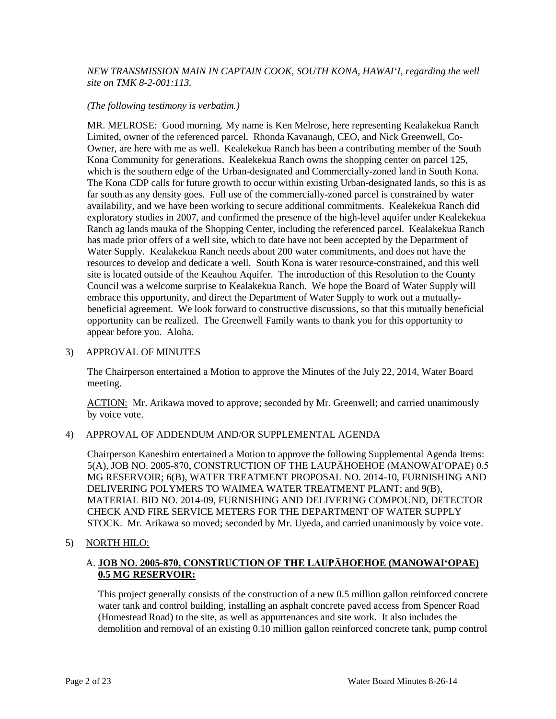#### *NEW TRANSMISSION MAIN IN CAPTAIN COOK, SOUTH KONA, HAWAI'I, regarding the well site on TMK 8-2-001:113.*

#### *(The following testimony is verbatim.)*

MR. MELROSE: Good morning. My name is Ken Melrose, here representing Kealakekua Ranch Limited, owner of the referenced parcel. Rhonda Kavanaugh, CEO, and Nick Greenwell, Co-Owner, are here with me as well. Kealekekua Ranch has been a contributing member of the South Kona Community for generations. Kealekekua Ranch owns the shopping center on parcel 125, which is the southern edge of the Urban-designated and Commercially-zoned land in South Kona. The Kona CDP calls for future growth to occur within existing Urban-designated lands, so this is as far south as any density goes. Full use of the commercially-zoned parcel is constrained by water availability, and we have been working to secure additional commitments. Kealekekua Ranch did exploratory studies in 2007, and confirmed the presence of the high-level aquifer under Kealekekua Ranch ag lands mauka of the Shopping Center, including the referenced parcel. Kealakekua Ranch has made prior offers of a well site, which to date have not been accepted by the Department of Water Supply. Kealakekua Ranch needs about 200 water commitments, and does not have the resources to develop and dedicate a well. South Kona is water resource-constrained, and this well site is located outside of the Keauhou Aquifer. The introduction of this Resolution to the County Council was a welcome surprise to Kealakekua Ranch. We hope the Board of Water Supply will embrace this opportunity, and direct the Department of Water Supply to work out a mutuallybeneficial agreement. We look forward to constructive discussions, so that this mutually beneficial opportunity can be realized. The Greenwell Family wants to thank you for this opportunity to appear before you. Aloha.

#### 3) APPROVAL OF MINUTES

The Chairperson entertained a Motion to approve the Minutes of the July 22, 2014, Water Board meeting.

ACTION: Mr. Arikawa moved to approve; seconded by Mr. Greenwell; and carried unanimously by voice vote.

#### 4) APPROVAL OF ADDENDUM AND/OR SUPPLEMENTAL AGENDA

Chairperson Kaneshiro entertained a Motion to approve the following Supplemental Agenda Items: 5(A), JOB NO. 2005-870, CONSTRUCTION OF THE LAUPĀHOEHOE (MANOWAI'OPAE) 0.5 MG RESERVOIR; 6(B), WATER TREATMENT PROPOSAL NO. 2014-10, FURNISHING AND DELIVERING POLYMERS TO WAIMEA WATER TREATMENT PLANT; and 9(B), MATERIAL BID NO. 2014-09, FURNISHING AND DELIVERING COMPOUND, DETECTOR CHECK AND FIRE SERVICE METERS FOR THE DEPARTMENT OF WATER SUPPLY STOCK. Mr. Arikawa so moved; seconded by Mr. Uyeda, and carried unanimously by voice vote.

5) NORTH HILO:

## A. **JOB NO. 2005-870, CONSTRUCTION OF THE LAUPĀHOEHOE (MANOWAI'OPAE) 0.5 MG RESERVOIR:**

This project generally consists of the construction of a new 0.5 million gallon reinforced concrete water tank and control building, installing an asphalt concrete paved access from Spencer Road (Homestead Road) to the site, as well as appurtenances and site work. It also includes the demolition and removal of an existing 0.10 million gallon reinforced concrete tank, pump control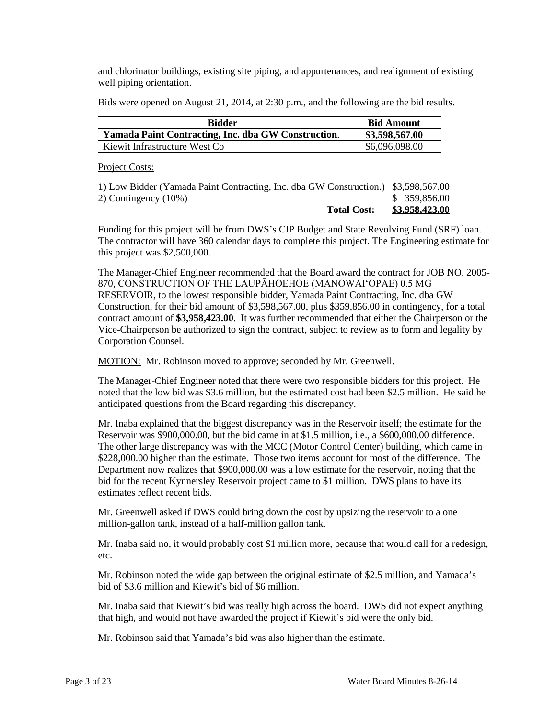and chlorinator buildings, existing site piping, and appurtenances, and realignment of existing well piping orientation.

Bids were opened on August 21, 2014, at 2:30 p.m., and the following are the bid results.

| <b>Bidder</b>                                       | <b>Bid Amount</b> |
|-----------------------------------------------------|-------------------|
| Yamada Paint Contracting, Inc. dba GW Construction. | \$3,598,567.00    |
| Kiewit Infrastructure West Co                       | \$6,096,098.00    |

Project Costs:

| <b>Total Cost:</b>                                                                 | \$3,958,423.00 |
|------------------------------------------------------------------------------------|----------------|
| 2) Contingency $(10\%)$                                                            | \$ 359,856.00  |
| 1) Low Bidder (Yamada Paint Contracting, Inc. dba GW Construction.) \$3,598,567.00 |                |

Funding for this project will be from DWS's CIP Budget and State Revolving Fund (SRF) loan. The contractor will have 360 calendar days to complete this project. The Engineering estimate for this project was \$2,500,000.

The Manager-Chief Engineer recommended that the Board award the contract for JOB NO. 2005- 870, CONSTRUCTION OF THE LAUPĀHOEHOE (MANOWAI'OPAE) 0.5 MG RESERVOIR, to the lowest responsible bidder, Yamada Paint Contracting, Inc. dba GW Construction, for their bid amount of \$3,598,567.00, plus \$359,856.00 in contingency, for a total contract amount of **\$3,958,423.00**. It was further recommended that either the Chairperson or the Vice-Chairperson be authorized to sign the contract, subject to review as to form and legality by Corporation Counsel.

MOTION: Mr. Robinson moved to approve; seconded by Mr. Greenwell.

The Manager-Chief Engineer noted that there were two responsible bidders for this project. He noted that the low bid was \$3.6 million, but the estimated cost had been \$2.5 million. He said he anticipated questions from the Board regarding this discrepancy.

Mr. Inaba explained that the biggest discrepancy was in the Reservoir itself; the estimate for the Reservoir was \$900,000.00, but the bid came in at \$1.5 million, i.e., a \$600,000.00 difference. The other large discrepancy was with the MCC (Motor Control Center) building, which came in \$228,000.00 higher than the estimate. Those two items account for most of the difference. The Department now realizes that \$900,000.00 was a low estimate for the reservoir, noting that the bid for the recent Kynnersley Reservoir project came to \$1 million. DWS plans to have its estimates reflect recent bids.

Mr. Greenwell asked if DWS could bring down the cost by upsizing the reservoir to a one million-gallon tank, instead of a half-million gallon tank.

Mr. Inaba said no, it would probably cost \$1 million more, because that would call for a redesign, etc.

Mr. Robinson noted the wide gap between the original estimate of \$2.5 million, and Yamada's bid of \$3.6 million and Kiewit's bid of \$6 million.

Mr. Inaba said that Kiewit's bid was really high across the board. DWS did not expect anything that high, and would not have awarded the project if Kiewit's bid were the only bid.

Mr. Robinson said that Yamada's bid was also higher than the estimate.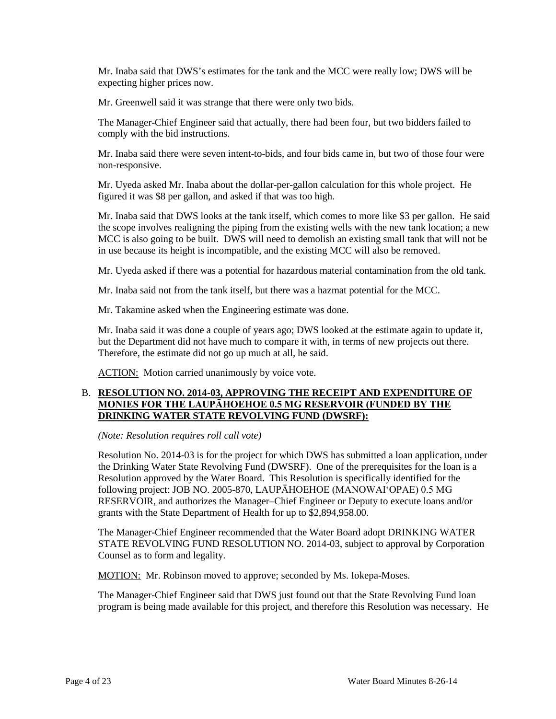Mr. Inaba said that DWS's estimates for the tank and the MCC were really low; DWS will be expecting higher prices now.

Mr. Greenwell said it was strange that there were only two bids.

The Manager-Chief Engineer said that actually, there had been four, but two bidders failed to comply with the bid instructions.

Mr. Inaba said there were seven intent-to-bids, and four bids came in, but two of those four were non-responsive.

Mr. Uyeda asked Mr. Inaba about the dollar-per-gallon calculation for this whole project. He figured it was \$8 per gallon, and asked if that was too high.

Mr. Inaba said that DWS looks at the tank itself, which comes to more like \$3 per gallon. He said the scope involves realigning the piping from the existing wells with the new tank location; a new MCC is also going to be built. DWS will need to demolish an existing small tank that will not be in use because its height is incompatible, and the existing MCC will also be removed.

Mr. Uyeda asked if there was a potential for hazardous material contamination from the old tank.

Mr. Inaba said not from the tank itself, but there was a hazmat potential for the MCC.

Mr. Takamine asked when the Engineering estimate was done.

Mr. Inaba said it was done a couple of years ago; DWS looked at the estimate again to update it, but the Department did not have much to compare it with, in terms of new projects out there. Therefore, the estimate did not go up much at all, he said.

ACTION: Motion carried unanimously by voice vote.

### B. **RESOLUTION NO. 2014-03, APPROVING THE RECEIPT AND EXPENDITURE OF MONIES FOR THE LAUPĀHOEHOE 0.5 MG RESERVOIR (FUNDED BY THE DRINKING WATER STATE REVOLVING FUND (DWSRF):**

*(Note: Resolution requires roll call vote)*

Resolution No. 2014-03 is for the project for which DWS has submitted a loan application, under the Drinking Water State Revolving Fund (DWSRF). One of the prerequisites for the loan is a Resolution approved by the Water Board. This Resolution is specifically identified for the following project: JOB NO. 2005-870, LAUPĀHOEHOE (MANOWAI'OPAE) 0.5 MG RESERVOIR, and authorizes the Manager–Chief Engineer or Deputy to execute loans and/or grants with the State Department of Health for up to \$2,894,958.00.

The Manager-Chief Engineer recommended that the Water Board adopt DRINKING WATER STATE REVOLVING FUND RESOLUTION NO. 2014-03, subject to approval by Corporation Counsel as to form and legality.

MOTION: Mr. Robinson moved to approve; seconded by Ms. Iokepa-Moses.

The Manager-Chief Engineer said that DWS just found out that the State Revolving Fund loan program is being made available for this project, and therefore this Resolution was necessary. He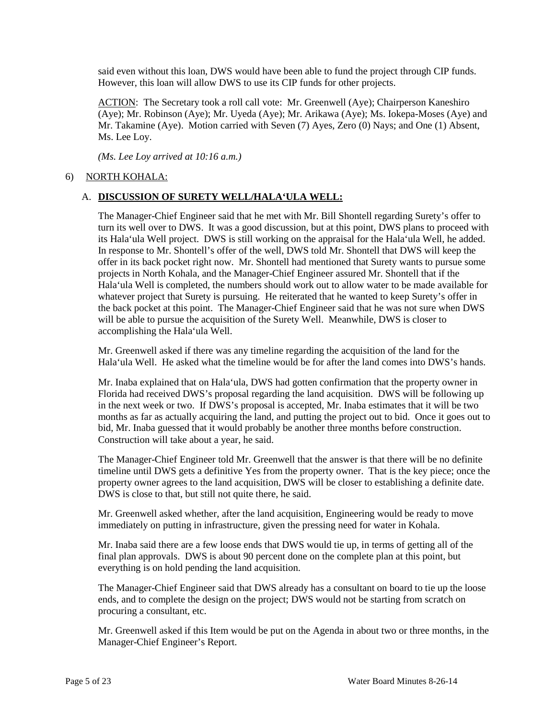said even without this loan, DWS would have been able to fund the project through CIP funds. However, this loan will allow DWS to use its CIP funds for other projects.

ACTION: The Secretary took a roll call vote: Mr. Greenwell (Aye); Chairperson Kaneshiro (Aye); Mr. Robinson (Aye); Mr. Uyeda (Aye); Mr. Arikawa (Aye); Ms. Iokepa-Moses (Aye) and Mr. Takamine (Aye). Motion carried with Seven (7) Ayes, Zero (0) Nays; and One (1) Absent, Ms. Lee Loy.

*(Ms. Lee Loy arrived at 10:16 a.m.)*

## 6) NORTH KOHALA:

## A. **DISCUSSION OF SURETY WELL/HALA'ULA WELL:**

The Manager-Chief Engineer said that he met with Mr. Bill Shontell regarding Surety's offer to turn its well over to DWS. It was a good discussion, but at this point, DWS plans to proceed with its Hala'ula Well project. DWS is still working on the appraisal for the Hala'ula Well, he added. In response to Mr. Shontell's offer of the well, DWS told Mr. Shontell that DWS will keep the offer in its back pocket right now. Mr. Shontell had mentioned that Surety wants to pursue some projects in North Kohala, and the Manager-Chief Engineer assured Mr. Shontell that if the Hala'ula Well is completed, the numbers should work out to allow water to be made available for whatever project that Surety is pursuing. He reiterated that he wanted to keep Surety's offer in the back pocket at this point. The Manager-Chief Engineer said that he was not sure when DWS will be able to pursue the acquisition of the Surety Well. Meanwhile, DWS is closer to accomplishing the Hala'ula Well.

Mr. Greenwell asked if there was any timeline regarding the acquisition of the land for the Hala'ula Well. He asked what the timeline would be for after the land comes into DWS's hands.

Mr. Inaba explained that on Hala'ula, DWS had gotten confirmation that the property owner in Florida had received DWS's proposal regarding the land acquisition. DWS will be following up in the next week or two. If DWS's proposal is accepted, Mr. Inaba estimates that it will be two months as far as actually acquiring the land, and putting the project out to bid. Once it goes out to bid, Mr. Inaba guessed that it would probably be another three months before construction. Construction will take about a year, he said.

The Manager-Chief Engineer told Mr. Greenwell that the answer is that there will be no definite timeline until DWS gets a definitive Yes from the property owner. That is the key piece; once the property owner agrees to the land acquisition, DWS will be closer to establishing a definite date. DWS is close to that, but still not quite there, he said.

Mr. Greenwell asked whether, after the land acquisition, Engineering would be ready to move immediately on putting in infrastructure, given the pressing need for water in Kohala.

Mr. Inaba said there are a few loose ends that DWS would tie up, in terms of getting all of the final plan approvals. DWS is about 90 percent done on the complete plan at this point, but everything is on hold pending the land acquisition.

The Manager-Chief Engineer said that DWS already has a consultant on board to tie up the loose ends, and to complete the design on the project; DWS would not be starting from scratch on procuring a consultant, etc.

Mr. Greenwell asked if this Item would be put on the Agenda in about two or three months, in the Manager-Chief Engineer's Report.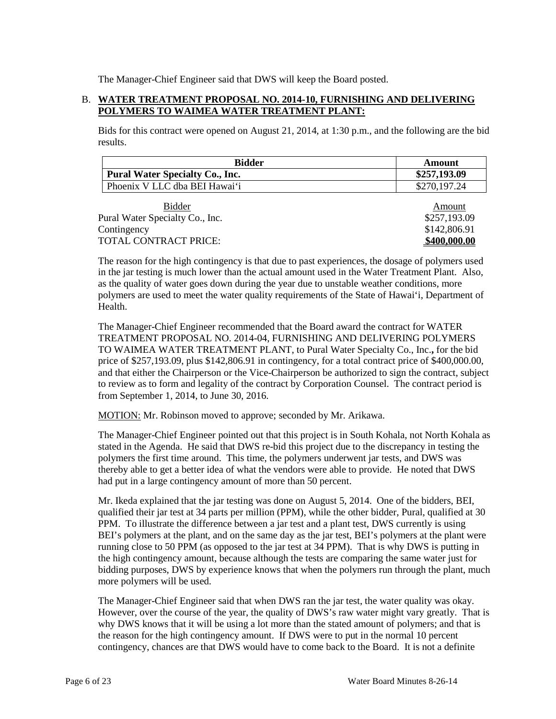The Manager-Chief Engineer said that DWS will keep the Board posted.

# B. **WATER TREATMENT PROPOSAL NO. 2014-10, FURNISHING AND DELIVERING POLYMERS TO WAIMEA WATER TREATMENT PLANT:**

Bids for this contract were opened on August 21, 2014, at 1:30 p.m., and the following are the bid results.

| <b>Bidder</b>                          | Amount       |
|----------------------------------------|--------------|
| <b>Pural Water Specialty Co., Inc.</b> | \$257,193.09 |
| Phoenix V LLC dba BEI Hawai'i          | \$270,197.24 |

| Amount       |
|--------------|
| \$257,193.09 |
| \$142,806.91 |
| \$400,000.00 |
|              |

The reason for the high contingency is that due to past experiences, the dosage of polymers used in the jar testing is much lower than the actual amount used in the Water Treatment Plant. Also, as the quality of water goes down during the year due to unstable weather conditions, more polymers are used to meet the water quality requirements of the State of Hawai'i, Department of Health.

The Manager-Chief Engineer recommended that the Board award the contract for WATER TREATMENT PROPOSAL NO. 2014-04, FURNISHING AND DELIVERING POLYMERS TO WAIMEA WATER TREATMENT PLANT, to Pural Water Specialty Co., Inc.**,** for the bid price of \$257,193.09, plus \$142,806.91 in contingency, for a total contract price of \$400,000.00, and that either the Chairperson or the Vice-Chairperson be authorized to sign the contract, subject to review as to form and legality of the contract by Corporation Counsel. The contract period is from September 1, 2014, to June 30, 2016.

MOTION: Mr. Robinson moved to approve; seconded by Mr. Arikawa.

The Manager-Chief Engineer pointed out that this project is in South Kohala, not North Kohala as stated in the Agenda. He said that DWS re-bid this project due to the discrepancy in testing the polymers the first time around. This time, the polymers underwent jar tests, and DWS was thereby able to get a better idea of what the vendors were able to provide. He noted that DWS had put in a large contingency amount of more than 50 percent.

Mr. Ikeda explained that the jar testing was done on August 5, 2014. One of the bidders, BEI, qualified their jar test at 34 parts per million (PPM), while the other bidder, Pural, qualified at 30 PPM. To illustrate the difference between a jar test and a plant test, DWS currently is using BEI's polymers at the plant, and on the same day as the jar test, BEI's polymers at the plant were running close to 50 PPM (as opposed to the jar test at 34 PPM). That is why DWS is putting in the high contingency amount, because although the tests are comparing the same water just for bidding purposes, DWS by experience knows that when the polymers run through the plant, much more polymers will be used.

The Manager-Chief Engineer said that when DWS ran the jar test, the water quality was okay. However, over the course of the year, the quality of DWS's raw water might vary greatly. That is why DWS knows that it will be using a lot more than the stated amount of polymers; and that is the reason for the high contingency amount. If DWS were to put in the normal 10 percent contingency, chances are that DWS would have to come back to the Board. It is not a definite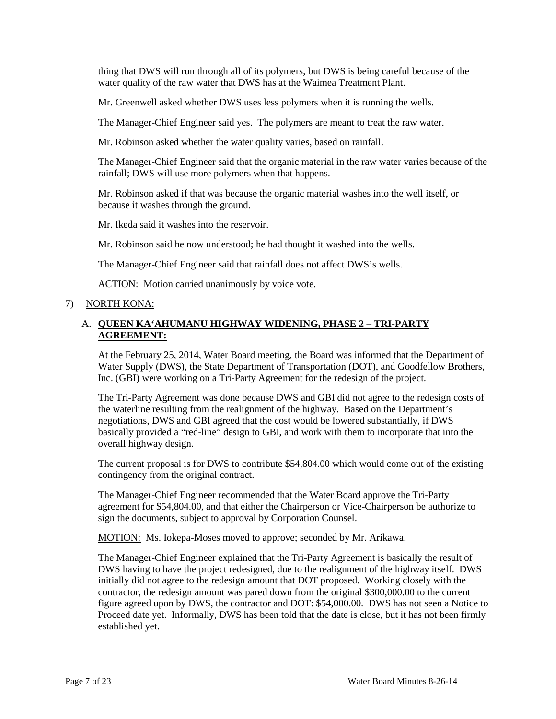thing that DWS will run through all of its polymers, but DWS is being careful because of the water quality of the raw water that DWS has at the Waimea Treatment Plant.

Mr. Greenwell asked whether DWS uses less polymers when it is running the wells.

The Manager-Chief Engineer said yes. The polymers are meant to treat the raw water.

Mr. Robinson asked whether the water quality varies, based on rainfall.

The Manager-Chief Engineer said that the organic material in the raw water varies because of the rainfall; DWS will use more polymers when that happens.

Mr. Robinson asked if that was because the organic material washes into the well itself, or because it washes through the ground.

Mr. Ikeda said it washes into the reservoir.

Mr. Robinson said he now understood; he had thought it washed into the wells.

The Manager-Chief Engineer said that rainfall does not affect DWS's wells.

ACTION: Motion carried unanimously by voice vote.

### 7) NORTH KONA:

## A. **QUEEN KA'AHUMANU HIGHWAY WIDENING, PHASE 2 – TRI-PARTY AGREEMENT:**

At the February 25, 2014, Water Board meeting, the Board was informed that the Department of Water Supply (DWS), the State Department of Transportation (DOT), and Goodfellow Brothers, Inc. (GBI) were working on a Tri-Party Agreement for the redesign of the project.

The Tri-Party Agreement was done because DWS and GBI did not agree to the redesign costs of the waterline resulting from the realignment of the highway. Based on the Department's negotiations, DWS and GBI agreed that the cost would be lowered substantially, if DWS basically provided a "red-line" design to GBI, and work with them to incorporate that into the overall highway design.

The current proposal is for DWS to contribute \$54,804.00 which would come out of the existing contingency from the original contract.

The Manager-Chief Engineer recommended that the Water Board approve the Tri-Party agreement for \$54,804.00, and that either the Chairperson or Vice-Chairperson be authorize to sign the documents, subject to approval by Corporation Counsel.

MOTION: Ms. Iokepa-Moses moved to approve; seconded by Mr. Arikawa.

The Manager-Chief Engineer explained that the Tri-Party Agreement is basically the result of DWS having to have the project redesigned, due to the realignment of the highway itself. DWS initially did not agree to the redesign amount that DOT proposed. Working closely with the contractor, the redesign amount was pared down from the original \$300,000.00 to the current figure agreed upon by DWS, the contractor and DOT: \$54,000.00. DWS has not seen a Notice to Proceed date yet. Informally, DWS has been told that the date is close, but it has not been firmly established yet.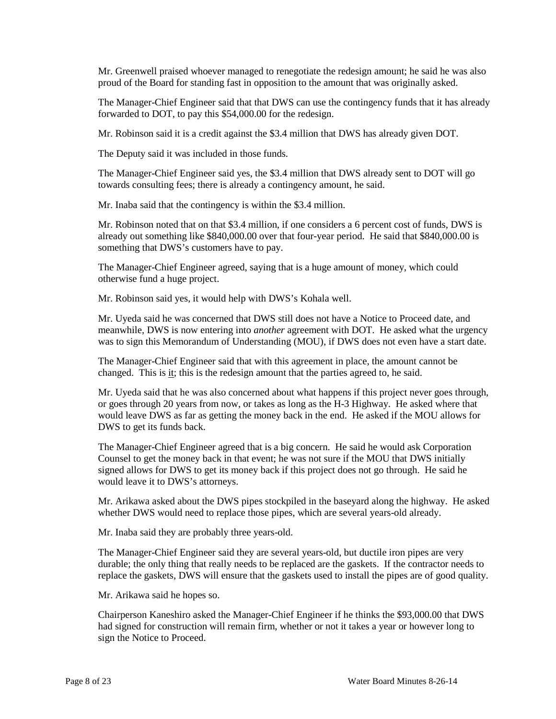Mr. Greenwell praised whoever managed to renegotiate the redesign amount; he said he was also proud of the Board for standing fast in opposition to the amount that was originally asked.

The Manager-Chief Engineer said that that DWS can use the contingency funds that it has already forwarded to DOT, to pay this \$54,000.00 for the redesign.

Mr. Robinson said it is a credit against the \$3.4 million that DWS has already given DOT.

The Deputy said it was included in those funds.

The Manager-Chief Engineer said yes, the \$3.4 million that DWS already sent to DOT will go towards consulting fees; there is already a contingency amount, he said.

Mr. Inaba said that the contingency is within the \$3.4 million.

Mr. Robinson noted that on that \$3.4 million, if one considers a 6 percent cost of funds, DWS is already out something like \$840,000.00 over that four-year period. He said that \$840,000.00 is something that DWS's customers have to pay.

The Manager-Chief Engineer agreed, saying that is a huge amount of money, which could otherwise fund a huge project.

Mr. Robinson said yes, it would help with DWS's Kohala well.

Mr. Uyeda said he was concerned that DWS still does not have a Notice to Proceed date, and meanwhile, DWS is now entering into *another* agreement with DOT. He asked what the urgency was to sign this Memorandum of Understanding (MOU), if DWS does not even have a start date.

The Manager-Chief Engineer said that with this agreement in place, the amount cannot be changed. This is  $\underline{it}$ ; this is the redesign amount that the parties agreed to, he said.

Mr. Uyeda said that he was also concerned about what happens if this project never goes through, or goes through 20 years from now, or takes as long as the H-3 Highway. He asked where that would leave DWS as far as getting the money back in the end. He asked if the MOU allows for DWS to get its funds back.

The Manager-Chief Engineer agreed that is a big concern. He said he would ask Corporation Counsel to get the money back in that event; he was not sure if the MOU that DWS initially signed allows for DWS to get its money back if this project does not go through. He said he would leave it to DWS's attorneys.

Mr. Arikawa asked about the DWS pipes stockpiled in the baseyard along the highway. He asked whether DWS would need to replace those pipes, which are several years-old already.

Mr. Inaba said they are probably three years-old.

The Manager-Chief Engineer said they are several years-old, but ductile iron pipes are very durable; the only thing that really needs to be replaced are the gaskets. If the contractor needs to replace the gaskets, DWS will ensure that the gaskets used to install the pipes are of good quality.

Mr. Arikawa said he hopes so.

Chairperson Kaneshiro asked the Manager-Chief Engineer if he thinks the \$93,000.00 that DWS had signed for construction will remain firm, whether or not it takes a year or however long to sign the Notice to Proceed.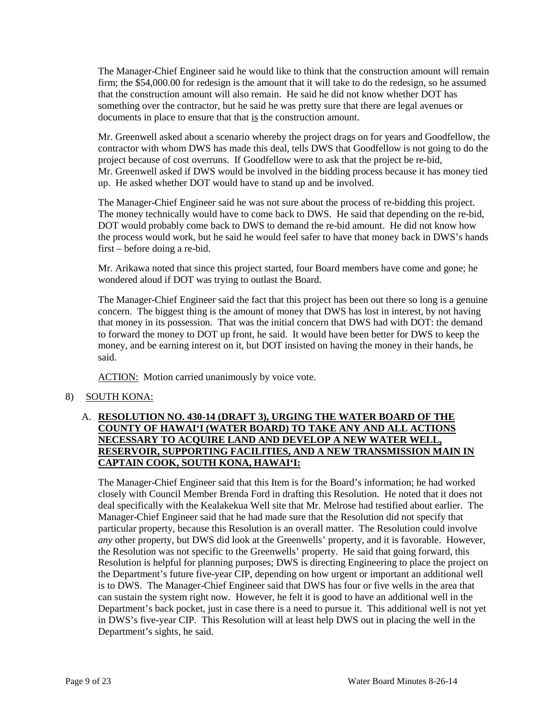The Manager-Chief Engineer said he would like to think that the construction amount will remain firm; the \$54,000.00 for redesign is the amount that it will take to do the redesign, so he assumed that the construction amount will also remain. He said he did not know whether DOT has something over the contractor, but he said he was pretty sure that there are legal avenues or documents in place to ensure that that is the construction amount.

Mr. Greenwell asked about a scenario whereby the project drags on for years and Goodfellow, the contractor with whom DWS has made this deal, tells DWS that Goodfellow is not going to do the project because of cost overruns. If Goodfellow were to ask that the project be re-bid, Mr. Greenwell asked if DWS would be involved in the bidding process because it has money tied up. He asked whether DOT would have to stand up and be involved.

The Manager-Chief Engineer said he was not sure about the process of re-bidding this project. The money technically would have to come back to DWS. He said that depending on the re-bid, DOT would probably come back to DWS to demand the re-bid amount. He did not know how the process would work, but he said he would feel safer to have that money back in DWS's hands first – before doing a re-bid.

Mr. Arikawa noted that since this project started, four Board members have come and gone; he wondered aloud if DOT was trying to outlast the Board.

The Manager-Chief Engineer said the fact that this project has been out there so long is a genuine concern. The biggest thing is the amount of money that DWS has lost in interest, by not having that money in its possession. That was the initial concern that DWS had with DOT: the demand to forward the money to DOT up front, he said. It would have been better for DWS to keep the money, and be earning interest on it, but DOT insisted on having the money in their hands, he said.

ACTION: Motion carried unanimously by voice vote.

## 8) SOUTH KONA:

## A. **RESOLUTION NO. 430-14 (DRAFT 3), URGING THE WATER BOARD OF THE COUNTY OF HAWAI'I (WATER BOARD) TO TAKE ANY AND ALL ACTIONS NECESSARY TO ACQUIRE LAND AND DEVELOP A NEW WATER WELL, RESERVOIR, SUPPORTING FACILITIES, AND A NEW TRANSMISSION MAIN IN CAPTAIN COOK, SOUTH KONA, HAWAI'I:**

The Manager-Chief Engineer said that this Item is for the Board's information; he had worked closely with Council Member Brenda Ford in drafting this Resolution. He noted that it does not deal specifically with the Kealakekua Well site that Mr. Melrose had testified about earlier. The Manager-Chief Engineer said that he had made sure that the Resolution did not specify that particular property, because this Resolution is an overall matter. The Resolution could involve *any* other property, but DWS did look at the Greenwells' property, and it is favorable. However, the Resolution was not specific to the Greenwells' property. He said that going forward, this Resolution is helpful for planning purposes; DWS is directing Engineering to place the project on the Department's future five-year CIP, depending on how urgent or important an additional well is to DWS. The Manager-Chief Engineer said that DWS has four or five wells in the area that can sustain the system right now. However, he felt it is good to have an additional well in the Department's back pocket, just in case there is a need to pursue it. This additional well is not yet in DWS's five-year CIP. This Resolution will at least help DWS out in placing the well in the Department's sights, he said.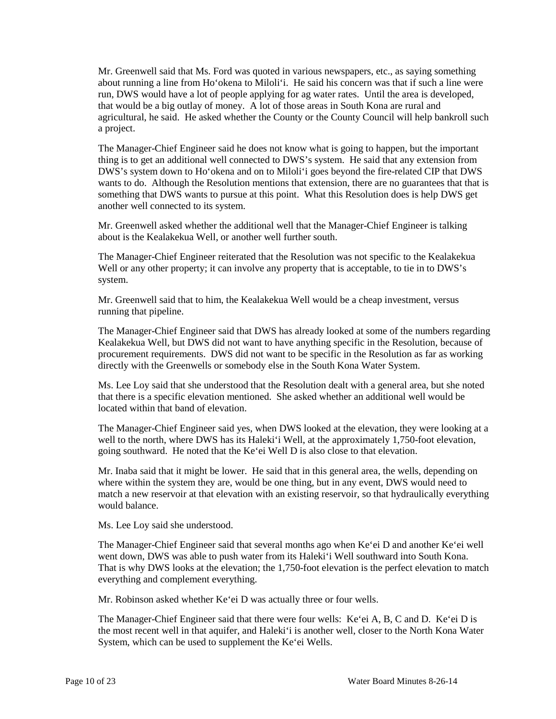Mr. Greenwell said that Ms. Ford was quoted in various newspapers, etc., as saying something about running a line from Ho'okena to Miloli'i. He said his concern was that if such a line were run, DWS would have a lot of people applying for ag water rates. Until the area is developed, that would be a big outlay of money. A lot of those areas in South Kona are rural and agricultural, he said. He asked whether the County or the County Council will help bankroll such a project.

The Manager-Chief Engineer said he does not know what is going to happen, but the important thing is to get an additional well connected to DWS's system. He said that any extension from DWS's system down to Ho'okena and on to Miloli'i goes beyond the fire-related CIP that DWS wants to do. Although the Resolution mentions that extension, there are no guarantees that that is something that DWS wants to pursue at this point. What this Resolution does is help DWS get another well connected to its system.

Mr. Greenwell asked whether the additional well that the Manager-Chief Engineer is talking about is the Kealakekua Well, or another well further south.

The Manager-Chief Engineer reiterated that the Resolution was not specific to the Kealakekua Well or any other property; it can involve any property that is acceptable, to tie in to DWS's system.

Mr. Greenwell said that to him, the Kealakekua Well would be a cheap investment, versus running that pipeline.

The Manager-Chief Engineer said that DWS has already looked at some of the numbers regarding Kealakekua Well, but DWS did not want to have anything specific in the Resolution, because of procurement requirements. DWS did not want to be specific in the Resolution as far as working directly with the Greenwells or somebody else in the South Kona Water System.

Ms. Lee Loy said that she understood that the Resolution dealt with a general area, but she noted that there is a specific elevation mentioned. She asked whether an additional well would be located within that band of elevation.

The Manager-Chief Engineer said yes, when DWS looked at the elevation, they were looking at a well to the north, where DWS has its Haleki'i Well, at the approximately 1,750-foot elevation, going southward. He noted that the Ke'ei Well D is also close to that elevation.

Mr. Inaba said that it might be lower. He said that in this general area, the wells, depending on where within the system they are, would be one thing, but in any event, DWS would need to match a new reservoir at that elevation with an existing reservoir, so that hydraulically everything would balance.

Ms. Lee Loy said she understood.

The Manager-Chief Engineer said that several months ago when Ke'ei D and another Ke'ei well went down, DWS was able to push water from its Haleki'i Well southward into South Kona. That is why DWS looks at the elevation; the 1,750-foot elevation is the perfect elevation to match everything and complement everything.

Mr. Robinson asked whether Ke'ei D was actually three or four wells.

The Manager-Chief Engineer said that there were four wells: Ke'ei A, B, C and D. Ke'ei D is the most recent well in that aquifer, and Haleki'i is another well, closer to the North Kona Water System, which can be used to supplement the Ke'ei Wells.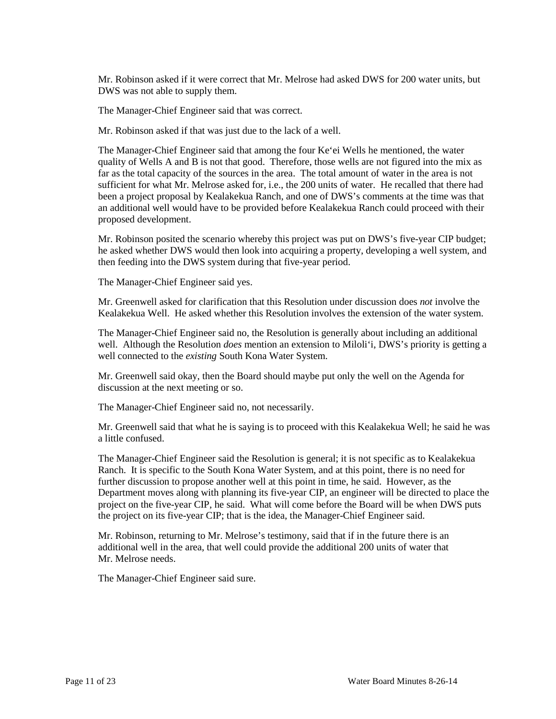Mr. Robinson asked if it were correct that Mr. Melrose had asked DWS for 200 water units, but DWS was not able to supply them.

The Manager-Chief Engineer said that was correct.

Mr. Robinson asked if that was just due to the lack of a well.

The Manager-Chief Engineer said that among the four Ke'ei Wells he mentioned, the water quality of Wells A and B is not that good. Therefore, those wells are not figured into the mix as far as the total capacity of the sources in the area. The total amount of water in the area is not sufficient for what Mr. Melrose asked for, i.e., the 200 units of water. He recalled that there had been a project proposal by Kealakekua Ranch, and one of DWS's comments at the time was that an additional well would have to be provided before Kealakekua Ranch could proceed with their proposed development.

Mr. Robinson posited the scenario whereby this project was put on DWS's five-year CIP budget; he asked whether DWS would then look into acquiring a property, developing a well system, and then feeding into the DWS system during that five-year period.

The Manager-Chief Engineer said yes.

Mr. Greenwell asked for clarification that this Resolution under discussion does *not* involve the Kealakekua Well. He asked whether this Resolution involves the extension of the water system.

The Manager-Chief Engineer said no, the Resolution is generally about including an additional well. Although the Resolution *does* mention an extension to Miloli'i, DWS's priority is getting a well connected to the *existing* South Kona Water System.

Mr. Greenwell said okay, then the Board should maybe put only the well on the Agenda for discussion at the next meeting or so.

The Manager-Chief Engineer said no, not necessarily.

Mr. Greenwell said that what he is saying is to proceed with this Kealakekua Well; he said he was a little confused.

The Manager-Chief Engineer said the Resolution is general; it is not specific as to Kealakekua Ranch. It is specific to the South Kona Water System, and at this point, there is no need for further discussion to propose another well at this point in time, he said. However, as the Department moves along with planning its five-year CIP, an engineer will be directed to place the project on the five-year CIP, he said. What will come before the Board will be when DWS puts the project on its five-year CIP; that is the idea, the Manager-Chief Engineer said.

Mr. Robinson, returning to Mr. Melrose's testimony, said that if in the future there is an additional well in the area, that well could provide the additional 200 units of water that Mr. Melrose needs.

The Manager-Chief Engineer said sure.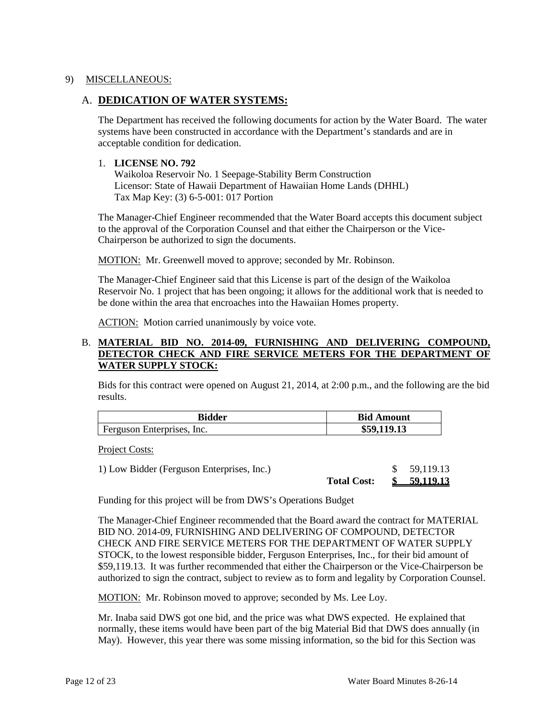## 9) MISCELLANEOUS:

# A. **DEDICATION OF WATER SYSTEMS:**

The Department has received the following documents for action by the Water Board. The water systems have been constructed in accordance with the Department's standards and are in acceptable condition for dedication.

### 1. **LICENSE NO. 792**

Waikoloa Reservoir No. 1 Seepage-Stability Berm Construction Licensor: State of Hawaii Department of Hawaiian Home Lands (DHHL) Tax Map Key: (3) 6-5-001: 017 Portion

The Manager-Chief Engineer recommended that the Water Board accepts this document subject to the approval of the Corporation Counsel and that either the Chairperson or the Vice-Chairperson be authorized to sign the documents.

MOTION: Mr. Greenwell moved to approve; seconded by Mr. Robinson.

The Manager-Chief Engineer said that this License is part of the design of the Waikoloa Reservoir No. 1 project that has been ongoing; it allows for the additional work that is needed to be done within the area that encroaches into the Hawaiian Homes property.

ACTION: Motion carried unanimously by voice vote.

### B. **MATERIAL BID NO. 2014-09, FURNISHING AND DELIVERING COMPOUND, DETECTOR CHECK AND FIRE SERVICE METERS FOR THE DEPARTMENT OF WATER SUPPLY STOCK:**

Bids for this contract were opened on August 21, 2014, at 2:00 p.m., and the following are the bid results.

| Bidder                       | <b>Bid Amount</b> |
|------------------------------|-------------------|
| l Ferguson Enterprises, Inc. | 119.13            |

Project Costs:

1) Low Bidder (Ferguson Enterprises, Inc.) \$ 59,119.13 **Total Cost: \$ 59,119.13**

Funding for this project will be from DWS's Operations Budget

The Manager-Chief Engineer recommended that the Board award the contract for MATERIAL BID NO. 2014-09, FURNISHING AND DELIVERING OF COMPOUND, DETECTOR CHECK AND FIRE SERVICE METERS FOR THE DEPARTMENT OF WATER SUPPLY STOCK, to the lowest responsible bidder, Ferguson Enterprises, Inc., for their bid amount of \$59,119.13. It was further recommended that either the Chairperson or the Vice-Chairperson be authorized to sign the contract, subject to review as to form and legality by Corporation Counsel.

MOTION: Mr. Robinson moved to approve; seconded by Ms. Lee Loy.

Mr. Inaba said DWS got one bid, and the price was what DWS expected. He explained that normally, these items would have been part of the big Material Bid that DWS does annually (in May). However, this year there was some missing information, so the bid for this Section was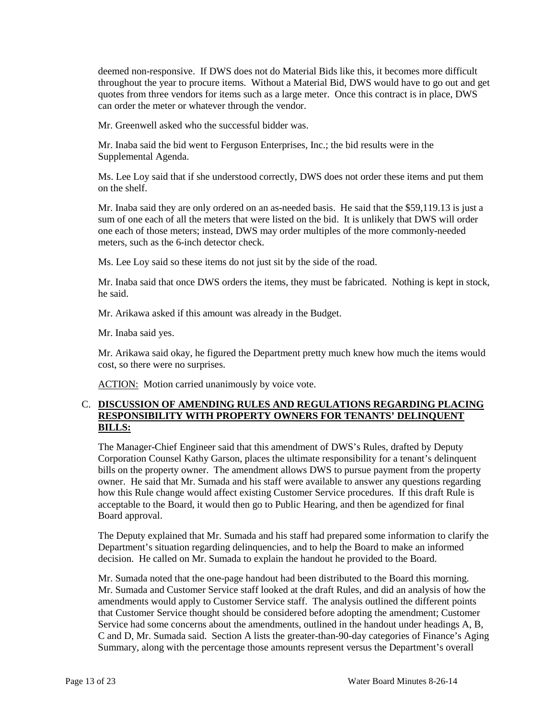deemed non-responsive. If DWS does not do Material Bids like this, it becomes more difficult throughout the year to procure items. Without a Material Bid, DWS would have to go out and get quotes from three vendors for items such as a large meter. Once this contract is in place, DWS can order the meter or whatever through the vendor.

Mr. Greenwell asked who the successful bidder was.

Mr. Inaba said the bid went to Ferguson Enterprises, Inc.; the bid results were in the Supplemental Agenda.

Ms. Lee Loy said that if she understood correctly, DWS does not order these items and put them on the shelf.

Mr. Inaba said they are only ordered on an as-needed basis. He said that the \$59,119.13 is just a sum of one each of all the meters that were listed on the bid. It is unlikely that DWS will order one each of those meters; instead, DWS may order multiples of the more commonly-needed meters, such as the 6-inch detector check.

Ms. Lee Loy said so these items do not just sit by the side of the road.

Mr. Inaba said that once DWS orders the items, they must be fabricated. Nothing is kept in stock, he said.

Mr. Arikawa asked if this amount was already in the Budget.

Mr. Inaba said yes.

Mr. Arikawa said okay, he figured the Department pretty much knew how much the items would cost, so there were no surprises.

ACTION: Motion carried unanimously by voice vote.

#### C. **DISCUSSION OF AMENDING RULES AND REGULATIONS REGARDING PLACING RESPONSIBILITY WITH PROPERTY OWNERS FOR TENANTS' DELINQUENT BILLS:**

The Manager-Chief Engineer said that this amendment of DWS's Rules, drafted by Deputy Corporation Counsel Kathy Garson, places the ultimate responsibility for a tenant's delinquent bills on the property owner. The amendment allows DWS to pursue payment from the property owner. He said that Mr. Sumada and his staff were available to answer any questions regarding how this Rule change would affect existing Customer Service procedures. If this draft Rule is acceptable to the Board, it would then go to Public Hearing, and then be agendized for final Board approval.

The Deputy explained that Mr. Sumada and his staff had prepared some information to clarify the Department's situation regarding delinquencies, and to help the Board to make an informed decision. He called on Mr. Sumada to explain the handout he provided to the Board.

Mr. Sumada noted that the one-page handout had been distributed to the Board this morning. Mr. Sumada and Customer Service staff looked at the draft Rules, and did an analysis of how the amendments would apply to Customer Service staff. The analysis outlined the different points that Customer Service thought should be considered before adopting the amendment; Customer Service had some concerns about the amendments, outlined in the handout under headings A, B, C and D, Mr. Sumada said. Section A lists the greater-than-90-day categories of Finance's Aging Summary, along with the percentage those amounts represent versus the Department's overall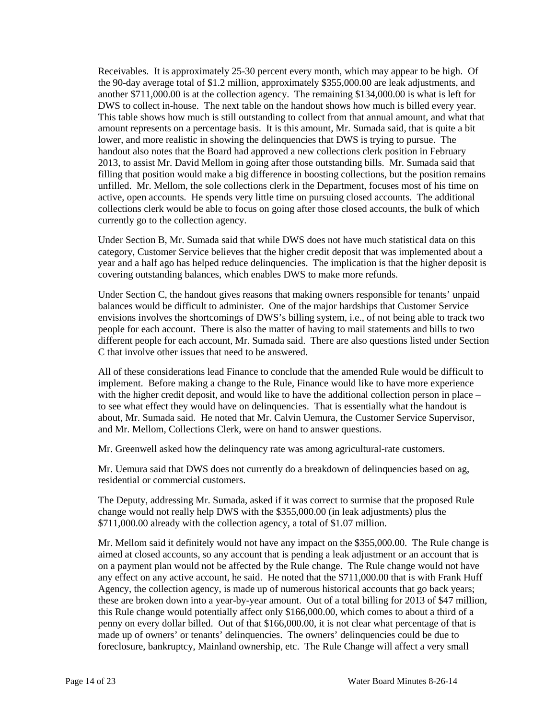Receivables. It is approximately 25-30 percent every month, which may appear to be high. Of the 90-day average total of \$1.2 million, approximately \$355,000.00 are leak adjustments, and another \$711,000.00 is at the collection agency. The remaining \$134,000.00 is what is left for DWS to collect in-house. The next table on the handout shows how much is billed every year. This table shows how much is still outstanding to collect from that annual amount, and what that amount represents on a percentage basis. It is this amount, Mr. Sumada said, that is quite a bit lower, and more realistic in showing the delinquencies that DWS is trying to pursue. The handout also notes that the Board had approved a new collections clerk position in February 2013, to assist Mr. David Mellom in going after those outstanding bills. Mr. Sumada said that filling that position would make a big difference in boosting collections, but the position remains unfilled. Mr. Mellom, the sole collections clerk in the Department, focuses most of his time on active, open accounts. He spends very little time on pursuing closed accounts. The additional collections clerk would be able to focus on going after those closed accounts, the bulk of which currently go to the collection agency.

Under Section B, Mr. Sumada said that while DWS does not have much statistical data on this category, Customer Service believes that the higher credit deposit that was implemented about a year and a half ago has helped reduce delinquencies. The implication is that the higher deposit is covering outstanding balances, which enables DWS to make more refunds.

Under Section C, the handout gives reasons that making owners responsible for tenants' unpaid balances would be difficult to administer. One of the major hardships that Customer Service envisions involves the shortcomings of DWS's billing system, i.e., of not being able to track two people for each account. There is also the matter of having to mail statements and bills to two different people for each account, Mr. Sumada said. There are also questions listed under Section C that involve other issues that need to be answered.

All of these considerations lead Finance to conclude that the amended Rule would be difficult to implement. Before making a change to the Rule, Finance would like to have more experience with the higher credit deposit, and would like to have the additional collection person in place – to see what effect they would have on delinquencies. That is essentially what the handout is about, Mr. Sumada said. He noted that Mr. Calvin Uemura, the Customer Service Supervisor, and Mr. Mellom, Collections Clerk, were on hand to answer questions.

Mr. Greenwell asked how the delinquency rate was among agricultural-rate customers.

Mr. Uemura said that DWS does not currently do a breakdown of delinquencies based on ag, residential or commercial customers.

The Deputy, addressing Mr. Sumada, asked if it was correct to surmise that the proposed Rule change would not really help DWS with the \$355,000.00 (in leak adjustments) plus the \$711,000.00 already with the collection agency, a total of \$1.07 million.

Mr. Mellom said it definitely would not have any impact on the \$355,000.00. The Rule change is aimed at closed accounts, so any account that is pending a leak adjustment or an account that is on a payment plan would not be affected by the Rule change. The Rule change would not have any effect on any active account, he said. He noted that the \$711,000.00 that is with Frank Huff Agency, the collection agency, is made up of numerous historical accounts that go back years; these are broken down into a year-by-year amount. Out of a total billing for 2013 of \$47 million, this Rule change would potentially affect only \$166,000.00, which comes to about a third of a penny on every dollar billed. Out of that \$166,000.00, it is not clear what percentage of that is made up of owners' or tenants' delinquencies. The owners' delinquencies could be due to foreclosure, bankruptcy, Mainland ownership, etc. The Rule Change will affect a very small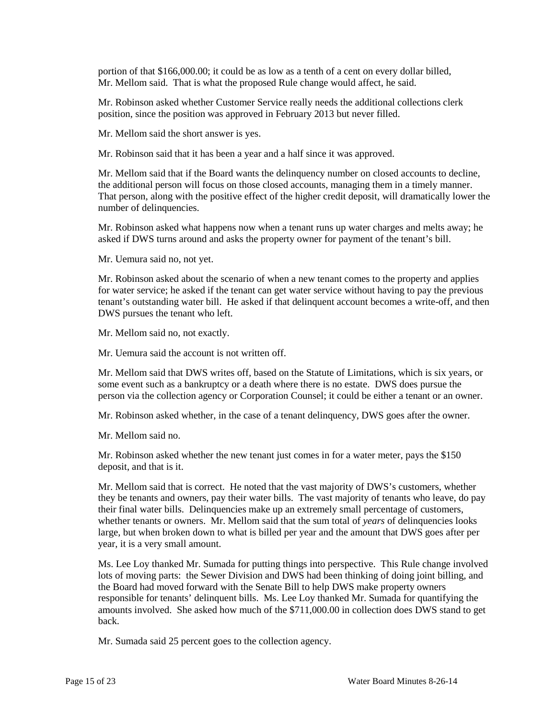portion of that \$166,000.00; it could be as low as a tenth of a cent on every dollar billed, Mr. Mellom said. That is what the proposed Rule change would affect, he said.

Mr. Robinson asked whether Customer Service really needs the additional collections clerk position, since the position was approved in February 2013 but never filled.

Mr. Mellom said the short answer is yes.

Mr. Robinson said that it has been a year and a half since it was approved.

Mr. Mellom said that if the Board wants the delinquency number on closed accounts to decline, the additional person will focus on those closed accounts, managing them in a timely manner. That person, along with the positive effect of the higher credit deposit, will dramatically lower the number of delinquencies.

Mr. Robinson asked what happens now when a tenant runs up water charges and melts away; he asked if DWS turns around and asks the property owner for payment of the tenant's bill.

Mr. Uemura said no, not yet.

Mr. Robinson asked about the scenario of when a new tenant comes to the property and applies for water service; he asked if the tenant can get water service without having to pay the previous tenant's outstanding water bill. He asked if that delinquent account becomes a write-off, and then DWS pursues the tenant who left.

Mr. Mellom said no, not exactly.

Mr. Uemura said the account is not written off.

Mr. Mellom said that DWS writes off, based on the Statute of Limitations, which is six years, or some event such as a bankruptcy or a death where there is no estate. DWS does pursue the person via the collection agency or Corporation Counsel; it could be either a tenant or an owner.

Mr. Robinson asked whether, in the case of a tenant delinquency, DWS goes after the owner.

Mr. Mellom said no.

Mr. Robinson asked whether the new tenant just comes in for a water meter, pays the \$150 deposit, and that is it.

Mr. Mellom said that is correct. He noted that the vast majority of DWS's customers, whether they be tenants and owners, pay their water bills. The vast majority of tenants who leave, do pay their final water bills. Delinquencies make up an extremely small percentage of customers, whether tenants or owners. Mr. Mellom said that the sum total of *years* of delinquencies looks large, but when broken down to what is billed per year and the amount that DWS goes after per year, it is a very small amount.

Ms. Lee Loy thanked Mr. Sumada for putting things into perspective. This Rule change involved lots of moving parts: the Sewer Division and DWS had been thinking of doing joint billing, and the Board had moved forward with the Senate Bill to help DWS make property owners responsible for tenants' delinquent bills. Ms. Lee Loy thanked Mr. Sumada for quantifying the amounts involved. She asked how much of the \$711,000.00 in collection does DWS stand to get back.

Mr. Sumada said 25 percent goes to the collection agency.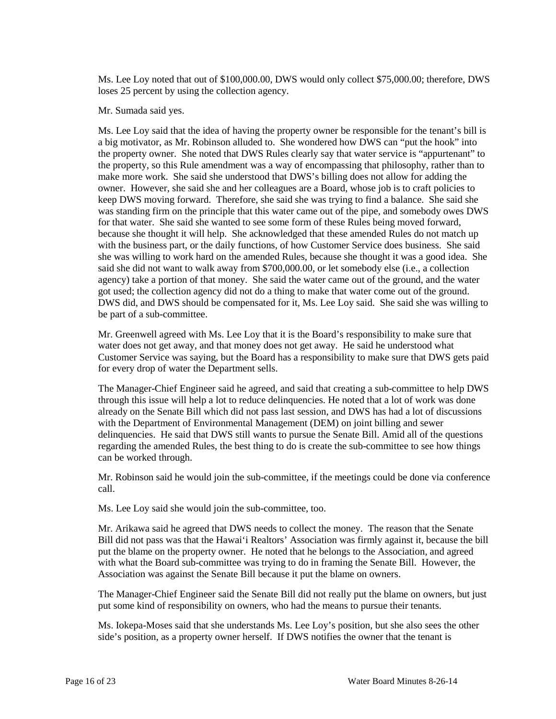Ms. Lee Loy noted that out of \$100,000.00, DWS would only collect \$75,000.00; therefore, DWS loses 25 percent by using the collection agency.

#### Mr. Sumada said yes.

Ms. Lee Loy said that the idea of having the property owner be responsible for the tenant's bill is a big motivator, as Mr. Robinson alluded to. She wondered how DWS can "put the hook" into the property owner. She noted that DWS Rules clearly say that water service is "appurtenant" to the property, so this Rule amendment was a way of encompassing that philosophy, rather than to make more work. She said she understood that DWS's billing does not allow for adding the owner. However, she said she and her colleagues are a Board, whose job is to craft policies to keep DWS moving forward. Therefore, she said she was trying to find a balance. She said she was standing firm on the principle that this water came out of the pipe, and somebody owes DWS for that water. She said she wanted to see some form of these Rules being moved forward, because she thought it will help. She acknowledged that these amended Rules do not match up with the business part, or the daily functions, of how Customer Service does business. She said she was willing to work hard on the amended Rules, because she thought it was a good idea. She said she did not want to walk away from \$700,000.00, or let somebody else (i.e., a collection agency) take a portion of that money. She said the water came out of the ground, and the water got used; the collection agency did not do a thing to make that water come out of the ground. DWS did, and DWS should be compensated for it, Ms. Lee Loy said. She said she was willing to be part of a sub-committee.

Mr. Greenwell agreed with Ms. Lee Loy that it is the Board's responsibility to make sure that water does not get away, and that money does not get away. He said he understood what Customer Service was saying, but the Board has a responsibility to make sure that DWS gets paid for every drop of water the Department sells.

The Manager-Chief Engineer said he agreed, and said that creating a sub-committee to help DWS through this issue will help a lot to reduce delinquencies. He noted that a lot of work was done already on the Senate Bill which did not pass last session, and DWS has had a lot of discussions with the Department of Environmental Management (DEM) on joint billing and sewer delinquencies. He said that DWS still wants to pursue the Senate Bill. Amid all of the questions regarding the amended Rules, the best thing to do is create the sub-committee to see how things can be worked through.

Mr. Robinson said he would join the sub-committee, if the meetings could be done via conference call.

Ms. Lee Loy said she would join the sub-committee, too.

Mr. Arikawa said he agreed that DWS needs to collect the money. The reason that the Senate Bill did not pass was that the Hawai'i Realtors' Association was firmly against it, because the bill put the blame on the property owner. He noted that he belongs to the Association, and agreed with what the Board sub-committee was trying to do in framing the Senate Bill. However, the Association was against the Senate Bill because it put the blame on owners.

The Manager-Chief Engineer said the Senate Bill did not really put the blame on owners, but just put some kind of responsibility on owners, who had the means to pursue their tenants.

Ms. Iokepa-Moses said that she understands Ms. Lee Loy's position, but she also sees the other side's position, as a property owner herself. If DWS notifies the owner that the tenant is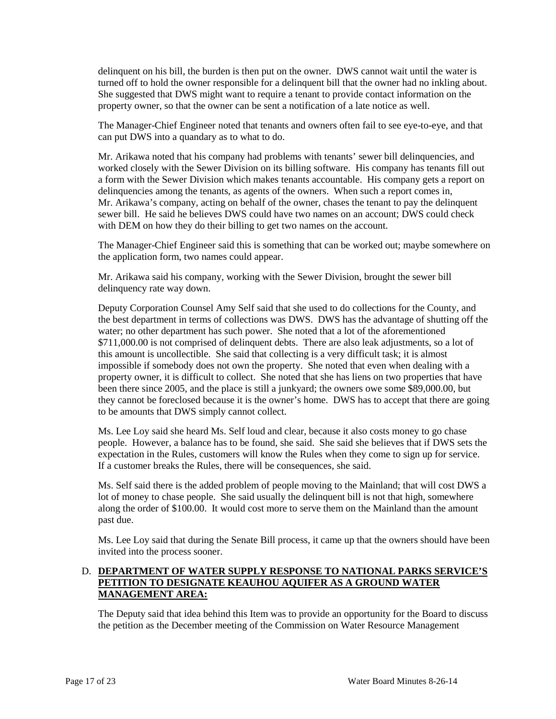delinquent on his bill, the burden is then put on the owner. DWS cannot wait until the water is turned off to hold the owner responsible for a delinquent bill that the owner had no inkling about. She suggested that DWS might want to require a tenant to provide contact information on the property owner, so that the owner can be sent a notification of a late notice as well.

The Manager-Chief Engineer noted that tenants and owners often fail to see eye-to-eye, and that can put DWS into a quandary as to what to do.

Mr. Arikawa noted that his company had problems with tenants' sewer bill delinquencies, and worked closely with the Sewer Division on its billing software. His company has tenants fill out a form with the Sewer Division which makes tenants accountable. His company gets a report on delinquencies among the tenants, as agents of the owners. When such a report comes in, Mr. Arikawa's company, acting on behalf of the owner, chases the tenant to pay the delinquent sewer bill. He said he believes DWS could have two names on an account; DWS could check with DEM on how they do their billing to get two names on the account.

The Manager-Chief Engineer said this is something that can be worked out; maybe somewhere on the application form, two names could appear.

Mr. Arikawa said his company, working with the Sewer Division, brought the sewer bill delinquency rate way down.

Deputy Corporation Counsel Amy Self said that she used to do collections for the County, and the best department in terms of collections was DWS. DWS has the advantage of shutting off the water; no other department has such power. She noted that a lot of the aforementioned \$711,000.00 is not comprised of delinquent debts. There are also leak adjustments, so a lot of this amount is uncollectible. She said that collecting is a very difficult task; it is almost impossible if somebody does not own the property. She noted that even when dealing with a property owner, it is difficult to collect. She noted that she has liens on two properties that have been there since 2005, and the place is still a junkyard; the owners owe some \$89,000.00, but they cannot be foreclosed because it is the owner's home. DWS has to accept that there are going to be amounts that DWS simply cannot collect.

Ms. Lee Loy said she heard Ms. Self loud and clear, because it also costs money to go chase people. However, a balance has to be found, she said. She said she believes that if DWS sets the expectation in the Rules, customers will know the Rules when they come to sign up for service. If a customer breaks the Rules, there will be consequences, she said.

Ms. Self said there is the added problem of people moving to the Mainland; that will cost DWS a lot of money to chase people. She said usually the delinquent bill is not that high, somewhere along the order of \$100.00. It would cost more to serve them on the Mainland than the amount past due.

Ms. Lee Loy said that during the Senate Bill process, it came up that the owners should have been invited into the process sooner.

### D. **DEPARTMENT OF WATER SUPPLY RESPONSE TO NATIONAL PARKS SERVICE'S PETITION TO DESIGNATE KEAUHOU AQUIFER AS A GROUND WATER MANAGEMENT AREA:**

The Deputy said that idea behind this Item was to provide an opportunity for the Board to discuss the petition as the December meeting of the Commission on Water Resource Management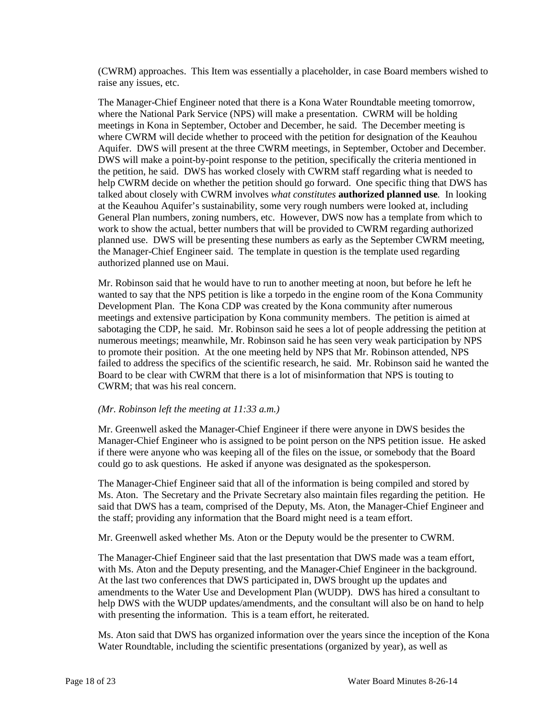(CWRM) approaches. This Item was essentially a placeholder, in case Board members wished to raise any issues, etc.

The Manager-Chief Engineer noted that there is a Kona Water Roundtable meeting tomorrow, where the National Park Service (NPS) will make a presentation. CWRM will be holding meetings in Kona in September, October and December, he said. The December meeting is where CWRM will decide whether to proceed with the petition for designation of the Keauhou Aquifer. DWS will present at the three CWRM meetings, in September, October and December. DWS will make a point-by-point response to the petition, specifically the criteria mentioned in the petition, he said. DWS has worked closely with CWRM staff regarding what is needed to help CWRM decide on whether the petition should go forward. One specific thing that DWS has talked about closely with CWRM involves *what constitutes* **authorized planned use***.* In looking at the Keauhou Aquifer's sustainability, some very rough numbers were looked at, including General Plan numbers, zoning numbers, etc. However, DWS now has a template from which to work to show the actual, better numbers that will be provided to CWRM regarding authorized planned use. DWS will be presenting these numbers as early as the September CWRM meeting, the Manager-Chief Engineer said. The template in question is the template used regarding authorized planned use on Maui.

Mr. Robinson said that he would have to run to another meeting at noon, but before he left he wanted to say that the NPS petition is like a torpedo in the engine room of the Kona Community Development Plan. The Kona CDP was created by the Kona community after numerous meetings and extensive participation by Kona community members. The petition is aimed at sabotaging the CDP, he said. Mr. Robinson said he sees a lot of people addressing the petition at numerous meetings; meanwhile, Mr. Robinson said he has seen very weak participation by NPS to promote their position. At the one meeting held by NPS that Mr. Robinson attended, NPS failed to address the specifics of the scientific research, he said. Mr. Robinson said he wanted the Board to be clear with CWRM that there is a lot of misinformation that NPS is touting to CWRM; that was his real concern.

#### *(Mr. Robinson left the meeting at 11:33 a.m.)*

Mr. Greenwell asked the Manager-Chief Engineer if there were anyone in DWS besides the Manager-Chief Engineer who is assigned to be point person on the NPS petition issue. He asked if there were anyone who was keeping all of the files on the issue, or somebody that the Board could go to ask questions. He asked if anyone was designated as the spokesperson.

The Manager-Chief Engineer said that all of the information is being compiled and stored by Ms. Aton. The Secretary and the Private Secretary also maintain files regarding the petition. He said that DWS has a team, comprised of the Deputy, Ms. Aton, the Manager-Chief Engineer and the staff; providing any information that the Board might need is a team effort.

Mr. Greenwell asked whether Ms. Aton or the Deputy would be the presenter to CWRM.

The Manager-Chief Engineer said that the last presentation that DWS made was a team effort, with Ms. Aton and the Deputy presenting, and the Manager-Chief Engineer in the background. At the last two conferences that DWS participated in, DWS brought up the updates and amendments to the Water Use and Development Plan (WUDP). DWS has hired a consultant to help DWS with the WUDP updates/amendments, and the consultant will also be on hand to help with presenting the information. This is a team effort, he reiterated.

Ms. Aton said that DWS has organized information over the years since the inception of the Kona Water Roundtable, including the scientific presentations (organized by year), as well as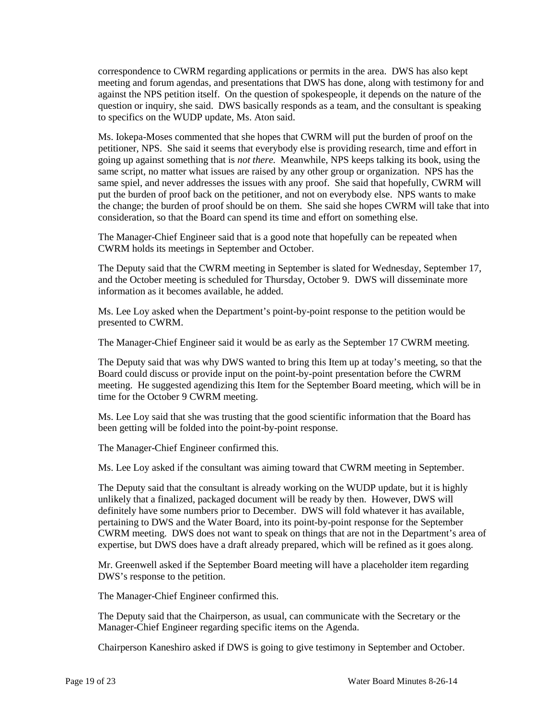correspondence to CWRM regarding applications or permits in the area. DWS has also kept meeting and forum agendas, and presentations that DWS has done, along with testimony for and against the NPS petition itself. On the question of spokespeople, it depends on the nature of the question or inquiry, she said. DWS basically responds as a team, and the consultant is speaking to specifics on the WUDP update, Ms. Aton said.

Ms. Iokepa-Moses commented that she hopes that CWRM will put the burden of proof on the petitioner, NPS. She said it seems that everybody else is providing research, time and effort in going up against something that is *not there.* Meanwhile, NPS keeps talking its book, using the same script, no matter what issues are raised by any other group or organization. NPS has the same spiel, and never addresses the issues with any proof. She said that hopefully, CWRM will put the burden of proof back on the petitioner, and not on everybody else. NPS wants to make the change; the burden of proof should be on them. She said she hopes CWRM will take that into consideration, so that the Board can spend its time and effort on something else.

The Manager-Chief Engineer said that is a good note that hopefully can be repeated when CWRM holds its meetings in September and October.

The Deputy said that the CWRM meeting in September is slated for Wednesday, September 17, and the October meeting is scheduled for Thursday, October 9. DWS will disseminate more information as it becomes available, he added.

Ms. Lee Loy asked when the Department's point-by-point response to the petition would be presented to CWRM.

The Manager-Chief Engineer said it would be as early as the September 17 CWRM meeting.

The Deputy said that was why DWS wanted to bring this Item up at today's meeting, so that the Board could discuss or provide input on the point-by-point presentation before the CWRM meeting. He suggested agendizing this Item for the September Board meeting, which will be in time for the October 9 CWRM meeting.

Ms. Lee Loy said that she was trusting that the good scientific information that the Board has been getting will be folded into the point-by-point response.

The Manager-Chief Engineer confirmed this.

Ms. Lee Loy asked if the consultant was aiming toward that CWRM meeting in September.

The Deputy said that the consultant is already working on the WUDP update, but it is highly unlikely that a finalized, packaged document will be ready by then. However, DWS will definitely have some numbers prior to December. DWS will fold whatever it has available, pertaining to DWS and the Water Board, into its point-by-point response for the September CWRM meeting. DWS does not want to speak on things that are not in the Department's area of expertise, but DWS does have a draft already prepared, which will be refined as it goes along.

Mr. Greenwell asked if the September Board meeting will have a placeholder item regarding DWS's response to the petition.

The Manager-Chief Engineer confirmed this.

The Deputy said that the Chairperson, as usual, can communicate with the Secretary or the Manager-Chief Engineer regarding specific items on the Agenda.

Chairperson Kaneshiro asked if DWS is going to give testimony in September and October.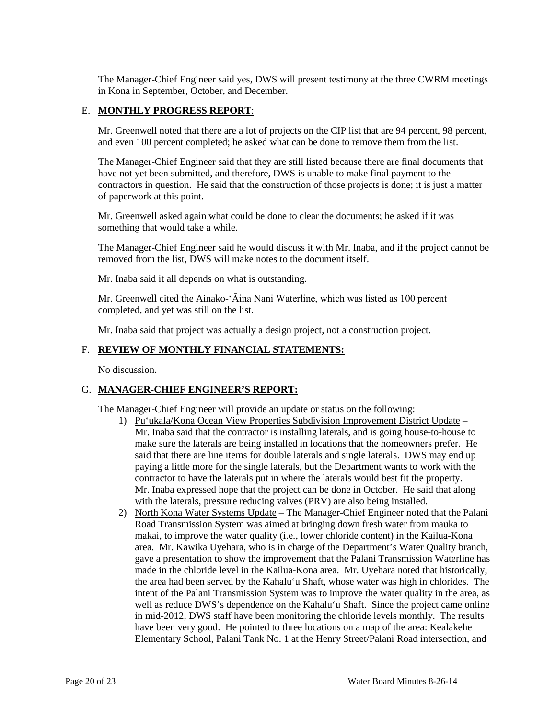The Manager-Chief Engineer said yes, DWS will present testimony at the three CWRM meetings in Kona in September, October, and December.

### E. **MONTHLY PROGRESS REPORT**:

Mr. Greenwell noted that there are a lot of projects on the CIP list that are 94 percent, 98 percent, and even 100 percent completed; he asked what can be done to remove them from the list.

The Manager-Chief Engineer said that they are still listed because there are final documents that have not yet been submitted, and therefore, DWS is unable to make final payment to the contractors in question. He said that the construction of those projects is done; it is just a matter of paperwork at this point.

Mr. Greenwell asked again what could be done to clear the documents; he asked if it was something that would take a while.

The Manager-Chief Engineer said he would discuss it with Mr. Inaba, and if the project cannot be removed from the list, DWS will make notes to the document itself.

Mr. Inaba said it all depends on what is outstanding.

Mr. Greenwell cited the Ainako-'Āina Nani Waterline, which was listed as 100 percent completed, and yet was still on the list.

Mr. Inaba said that project was actually a design project, not a construction project.

#### F. **REVIEW OF MONTHLY FINANCIAL STATEMENTS:**

No discussion.

#### G. **MANAGER-CHIEF ENGINEER'S REPORT:**

The Manager-Chief Engineer will provide an update or status on the following:

- 1) Pu'ukala/Kona Ocean View Properties Subdivision Improvement District Update Mr. Inaba said that the contractor is installing laterals, and is going house-to-house to make sure the laterals are being installed in locations that the homeowners prefer. He said that there are line items for double laterals and single laterals. DWS may end up paying a little more for the single laterals, but the Department wants to work with the contractor to have the laterals put in where the laterals would best fit the property. Mr. Inaba expressed hope that the project can be done in October. He said that along with the laterals, pressure reducing valves (PRV) are also being installed.
- 2) North Kona Water Systems Update The Manager-Chief Engineer noted that the Palani Road Transmission System was aimed at bringing down fresh water from mauka to makai, to improve the water quality (i.e., lower chloride content) in the Kailua-Kona area. Mr. Kawika Uyehara, who is in charge of the Department's Water Quality branch, gave a presentation to show the improvement that the Palani Transmission Waterline has made in the chloride level in the Kailua-Kona area. Mr. Uyehara noted that historically, the area had been served by the Kahalu'u Shaft, whose water was high in chlorides. The intent of the Palani Transmission System was to improve the water quality in the area, as well as reduce DWS's dependence on the Kahalu'u Shaft. Since the project came online in mid-2012, DWS staff have been monitoring the chloride levels monthly. The results have been very good. He pointed to three locations on a map of the area: Kealakehe Elementary School, Palani Tank No. 1 at the Henry Street/Palani Road intersection, and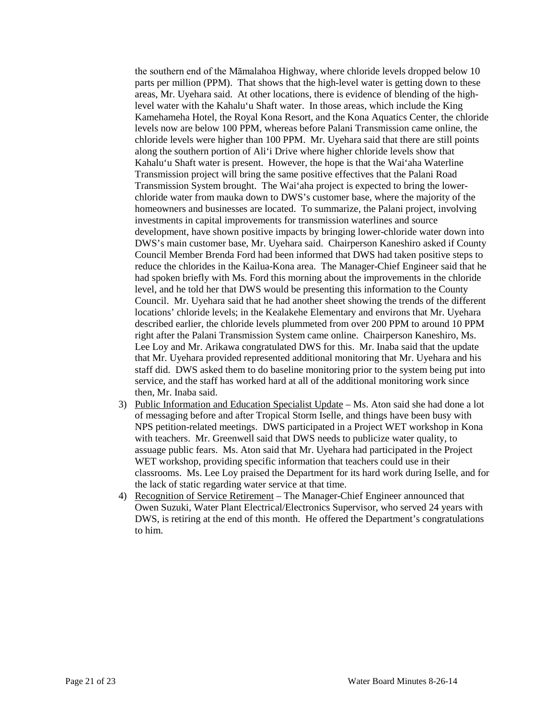the southern end of the Māmalahoa Highway, where chloride levels dropped below 10 parts per million (PPM). That shows that the high-level water is getting down to these areas, Mr. Uyehara said. At other locations, there is evidence of blending of the highlevel water with the Kahalu'u Shaft water. In those areas, which include the King Kamehameha Hotel, the Royal Kona Resort, and the Kona Aquatics Center, the chloride levels now are below 100 PPM, whereas before Palani Transmission came online, the chloride levels were higher than 100 PPM. Mr. Uyehara said that there are still points along the southern portion of Ali'i Drive where higher chloride levels show that Kahalu'u Shaft water is present. However, the hope is that the Wai'aha Waterline Transmission project will bring the same positive effectives that the Palani Road Transmission System brought. The Wai'aha project is expected to bring the lowerchloride water from mauka down to DWS's customer base, where the majority of the homeowners and businesses are located. To summarize, the Palani project, involving investments in capital improvements for transmission waterlines and source development, have shown positive impacts by bringing lower-chloride water down into DWS's main customer base, Mr. Uyehara said. Chairperson Kaneshiro asked if County Council Member Brenda Ford had been informed that DWS had taken positive steps to reduce the chlorides in the Kailua-Kona area. The Manager-Chief Engineer said that he had spoken briefly with Ms. Ford this morning about the improvements in the chloride level, and he told her that DWS would be presenting this information to the County Council. Mr. Uyehara said that he had another sheet showing the trends of the different locations' chloride levels; in the Kealakehe Elementary and environs that Mr. Uyehara described earlier, the chloride levels plummeted from over 200 PPM to around 10 PPM right after the Palani Transmission System came online. Chairperson Kaneshiro, Ms. Lee Loy and Mr. Arikawa congratulated DWS for this. Mr. Inaba said that the update that Mr. Uyehara provided represented additional monitoring that Mr. Uyehara and his staff did. DWS asked them to do baseline monitoring prior to the system being put into service, and the staff has worked hard at all of the additional monitoring work since then, Mr. Inaba said.

- 3) Public Information and Education Specialist Update Ms. Aton said she had done a lot of messaging before and after Tropical Storm Iselle, and things have been busy with NPS petition-related meetings. DWS participated in a Project WET workshop in Kona with teachers. Mr. Greenwell said that DWS needs to publicize water quality, to assuage public fears. Ms. Aton said that Mr. Uyehara had participated in the Project WET workshop, providing specific information that teachers could use in their classrooms. Ms. Lee Loy praised the Department for its hard work during Iselle, and for the lack of static regarding water service at that time.
- 4) Recognition of Service Retirement The Manager-Chief Engineer announced that Owen Suzuki, Water Plant Electrical/Electronics Supervisor, who served 24 years with DWS, is retiring at the end of this month. He offered the Department's congratulations to him.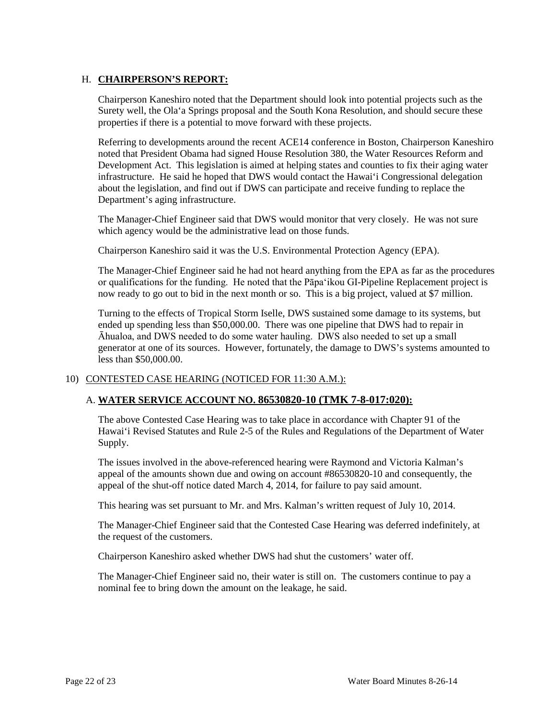## H. **CHAIRPERSON'S REPORT:**

Chairperson Kaneshiro noted that the Department should look into potential projects such as the Surety well, the Ola'a Springs proposal and the South Kona Resolution, and should secure these properties if there is a potential to move forward with these projects.

Referring to developments around the recent ACE14 conference in Boston, Chairperson Kaneshiro noted that President Obama had signed House Resolution 380, the Water Resources Reform and Development Act. This legislation is aimed at helping states and counties to fix their aging water infrastructure. He said he hoped that DWS would contact the Hawai'i Congressional delegation about the legislation, and find out if DWS can participate and receive funding to replace the Department's aging infrastructure.

The Manager-Chief Engineer said that DWS would monitor that very closely. He was not sure which agency would be the administrative lead on those funds.

Chairperson Kaneshiro said it was the U.S. Environmental Protection Agency (EPA).

The Manager-Chief Engineer said he had not heard anything from the EPA as far as the procedures or qualifications for the funding. He noted that the Pāpa'ikou GI-Pipeline Replacement project is now ready to go out to bid in the next month or so. This is a big project, valued at \$7 million.

Turning to the effects of Tropical Storm Iselle, DWS sustained some damage to its systems, but ended up spending less than \$50,000.00. There was one pipeline that DWS had to repair in Āhualoa, and DWS needed to do some water hauling. DWS also needed to set up a small generator at one of its sources. However, fortunately, the damage to DWS's systems amounted to less than \$50,000.00.

### 10) CONTESTED CASE HEARING (NOTICED FOR 11:30 A.M.):

## A. **WATER SERVICE ACCOUNT NO. 86530820-10 (TMK 7-8-017:020):**

The above Contested Case Hearing was to take place in accordance with Chapter 91 of the Hawai'i Revised Statutes and Rule 2-5 of the Rules and Regulations of the Department of Water Supply.

The issues involved in the above-referenced hearing were Raymond and Victoria Kalman's appeal of the amounts shown due and owing on account #86530820-10 and consequently, the appeal of the shut-off notice dated March 4, 2014, for failure to pay said amount.

This hearing was set pursuant to Mr. and Mrs. Kalman's written request of July 10, 2014.

The Manager-Chief Engineer said that the Contested Case Hearing was deferred indefinitely, at the request of the customers.

Chairperson Kaneshiro asked whether DWS had shut the customers' water off.

The Manager-Chief Engineer said no, their water is still on. The customers continue to pay a nominal fee to bring down the amount on the leakage, he said.